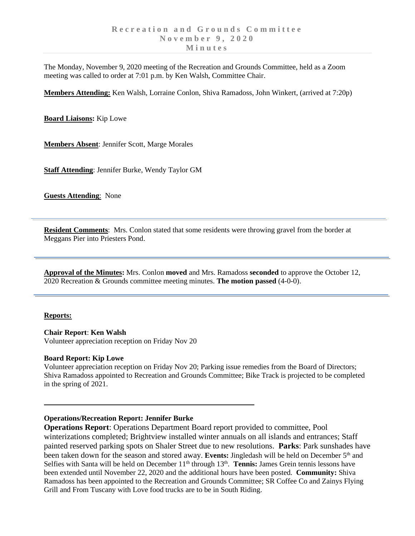The Monday, November 9, 2020 meeting of the Recreation and Grounds Committee, held as a Zoom meeting was called to order at 7:01 p.m. by Ken Walsh, Committee Chair.

**Members Attending:** Ken Walsh, Lorraine Conlon, Shiva Ramadoss, John Winkert, (arrived at 7:20p)

**Board Liaisons:** Kip Lowe

**Members Absent**: Jennifer Scott, Marge Morales

**Staff Attending**: Jennifer Burke, Wendy Taylor GM

**Guests Attending**: None

**Resident Comments**: Mrs. Conlon stated that some residents were throwing gravel from the border at Meggans Pier into Priesters Pond.

**Approval of the Minutes:** Mrs. Conlon **moved** and Mrs. Ramadoss **seconded** to approve the October 12, 2020 Recreation & Grounds committee meeting minutes. **The motion passed** (4-0-0).

### **Reports:**

**Chair Report**: **Ken Walsh** Volunteer appreciation reception on Friday Nov 20

### **Board Report: Kip Lowe**

Volunteer appreciation reception on Friday Nov 20; Parking issue remedies from the Board of Directors; Shiva Ramadoss appointed to Recreation and Grounds Committee; Bike Track is projected to be completed in the spring of 2021.

### **Operations/Recreation Report: Jennifer Burke**

**Operations Report**: Operations Department Board report provided to committee, Pool winterizations completed; Brightview installed winter annuals on all islands and entrances; Staff painted reserved parking spots on Shaler Street due to new resolutions. **Parks**: Park sunshades have been taken down for the season and stored away. Events: Jingledash will be held on December 5<sup>th</sup> and Selfies with Santa will be held on December 11<sup>th</sup> through 13<sup>th</sup>. Tennis: James Grein tennis lessons have been extended until November 22, 2020 and the additional hours have been posted. **Community:** Shiva Ramadoss has been appointed to the Recreation and Grounds Committee; SR Coffee Co and Zainys Flying Grill and From Tuscany with Love food trucks are to be in South Riding.